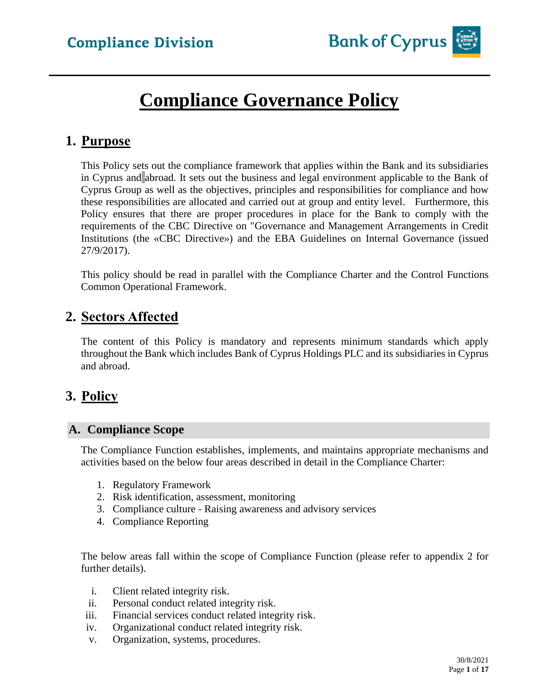# **Compliance Governance Policy**

## **1. Purpose**

This Policy sets out the compliance framework that applies within the Bank and its subsidiaries in Cyprus and abroad. It sets out the business and legal environment applicable to the Bank of Cyprus Group as well as the objectives, principles and responsibilities for compliance and how these responsibilities are allocated and carried out at group and entity level. Furthermore, this Policy ensures that there are proper procedures in place for the Bank to comply with the requirements of the CBC Directive on "Governance and Management Arrangements in Credit Institutions (the «CBC Directive») and the EBA Guidelines on Internal Governance (issued 27/9/2017).

This policy should be read in parallel with the Compliance Charter and the Control Functions Common Operational Framework.

# **2. Sectors Affected**

The content of this Policy is mandatory and represents minimum standards which apply throughout the Bank which includes Bank of Cyprus Holdings PLC and its subsidiaries in Cyprus and abroad.

# **3. Policy**

### **A. Compliance Scope**

The Compliance Function establishes, implements, and maintains appropriate mechanisms and activities based on the below four areas described in detail in the Compliance Charter:

- 1. Regulatory Framework
- 2. Risk identification, assessment, monitoring
- 3. Compliance culture Raising awareness and advisory services
- 4. Compliance Reporting

The below areas fall within the scope of Compliance Function (please refer to appendix 2 for further details).

- i. Client related integrity risk.
- ii. Personal conduct related integrity risk.
- iii. Financial services conduct related integrity risk.
- iv. Organizational conduct related integrity risk.
- v. Organization, systems, procedures.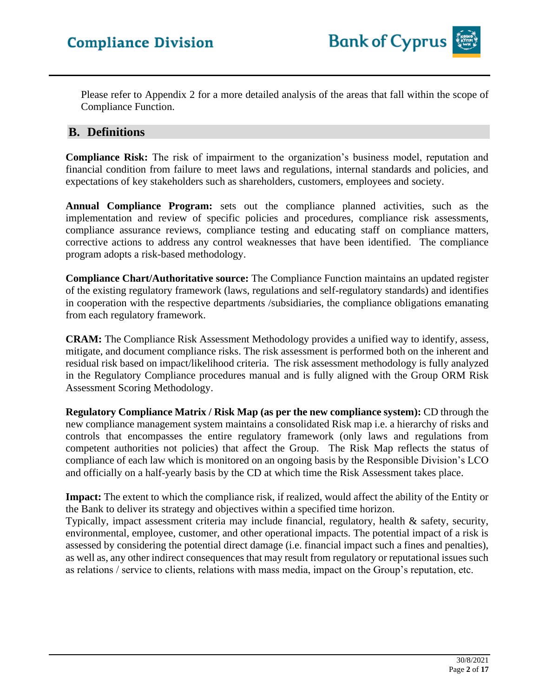Please refer to Appendix 2 for a more detailed analysis of the areas that fall within the scope of Compliance Function.

### **B. Definitions**

**Compliance Risk:** The risk of impairment to the organization's business model, reputation and financial condition from failure to meet laws and regulations, internal standards and policies, and expectations of key stakeholders such as shareholders, customers, employees and society.

**Annual Compliance Program:** sets out the compliance planned activities, such as the implementation and review of specific policies and procedures, compliance risk assessments, compliance assurance reviews, compliance testing and educating staff on compliance matters, corrective actions to address any control weaknesses that have been identified. The compliance program adopts a risk-based methodology.

**Compliance Chart/Authoritative source:** The Compliance Function maintains an updated register of the existing regulatory framework (laws, regulations and self-regulatory standards) and identifies in cooperation with the respective departments /subsidiaries, the compliance obligations emanating from each regulatory framework.

**CRAM:** The Compliance Risk Assessment Methodology provides a unified way to identify, assess, mitigate, and document compliance risks. The risk assessment is performed both on the inherent and residual risk based on impact/likelihood criteria. The risk assessment methodology is fully analyzed in the Regulatory Compliance procedures manual and is fully aligned with the Group ORM Risk Assessment Scoring Methodology.

**Regulatory Compliance Matrix / Risk Map (as per the new compliance system):** CD through the new compliance management system maintains a consolidated Risk map i.e. a hierarchy of risks and controls that encompasses the entire regulatory framework (only laws and regulations from competent authorities not policies) that affect the Group. The Risk Map reflects the status of compliance of each law which is monitored on an ongoing basis by the Responsible Division's LCO and officially on a half-yearly basis by the CD at which time the Risk Assessment takes place.

**Impact:** The extent to which the compliance risk, if realized, would affect the ability of the Entity or the Bank to deliver its strategy and objectives within a specified time horizon.

Typically, impact assessment criteria may include financial, regulatory, health & safety, security, environmental, employee, customer, and other operational impacts. The potential impact of a risk is assessed by considering the potential direct damage (i.e. financial impact such a fines and penalties), as well as, any other indirect consequences that may result from regulatory or reputational issues such as relations / service to clients, relations with mass media, impact on the Group's reputation, etc.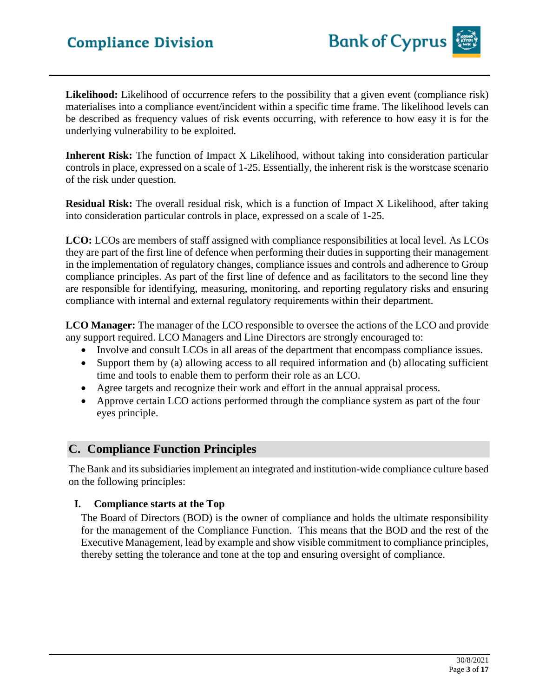**Likelihood:** Likelihood of occurrence refers to the possibility that a given event (compliance risk) materialises into a compliance event/incident within a specific time frame. The likelihood levels can be described as frequency values of risk events occurring, with reference to how easy it is for the underlying vulnerability to be exploited.

**Inherent Risk:** The function of Impact X Likelihood, without taking into consideration particular controls in place, expressed on a scale of 1-25. Essentially, the inherent risk is the worstcase scenario of the risk under question.

**Residual Risk:** The overall residual risk, which is a function of Impact X Likelihood, after taking into consideration particular controls in place, expressed on a scale of 1-25.

**LCO:** LCOs are members of staff assigned with compliance responsibilities at local level. As LCOs they are part of the first line of defence when performing their duties in supporting their management in the implementation of regulatory changes, compliance issues and controls and adherence to Group compliance principles. As part of the first line of defence and as facilitators to the second line they are responsible for identifying, measuring, monitoring, and reporting regulatory risks and ensuring compliance with internal and external regulatory requirements within their department.

**LCO Manager:** The manager of the LCO responsible to oversee the actions of the LCO and provide any support required. LCO Managers and Line Directors are strongly encouraged to:

- Involve and consult LCOs in all areas of the department that encompass compliance issues.
- Support them by (a) allowing access to all required information and (b) allocating sufficient time and tools to enable them to perform their role as an LCO.
- Agree targets and recognize their work and effort in the annual appraisal process.
- Approve certain LCO actions performed through the compliance system as part of the four eyes principle.

### **C. Compliance Function Principles**

The Bank and its subsidiaries implement an integrated and institution-wide compliance culture based on the following principles:

#### **I. Compliance starts at the Top**

The Board of Directors (BOD) is the owner of compliance and holds the ultimate responsibility for the management of the Compliance Function. This means that the BOD and the rest of the Executive Management, lead by example and show visible commitment to compliance principles, thereby setting the tolerance and tone at the top and ensuring oversight of compliance.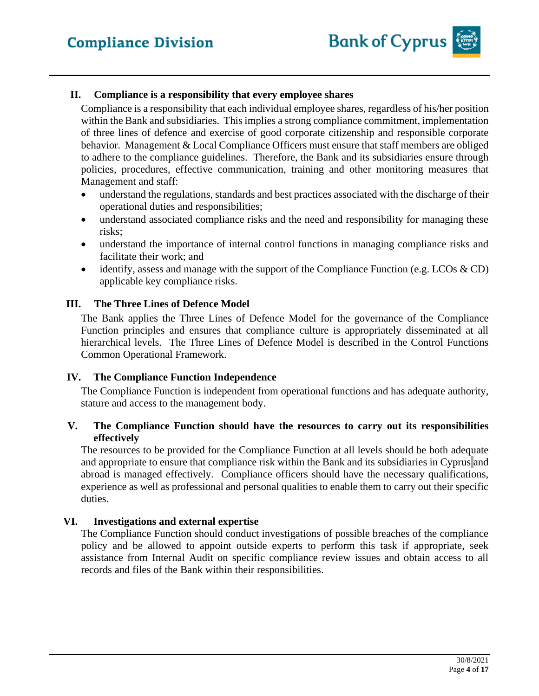#### **II. Compliance is a responsibility that every employee shares**

Compliance is a responsibility that each individual employee shares, regardless of his/her position within the Bank and subsidiaries. This implies a strong compliance commitment, implementation of three lines of defence and exercise of good corporate citizenship and responsible corporate behavior. Management & Local Compliance Officers must ensure that staff members are obliged to adhere to the compliance guidelines. Therefore, the Bank and its subsidiaries ensure through policies, procedures, effective communication, training and other monitoring measures that Management and staff:

- understand the regulations, standards and best practices associated with the discharge of their operational duties and responsibilities;
- understand associated compliance risks and the need and responsibility for managing these risks;
- understand the importance of internal control functions in managing compliance risks and facilitate their work; and
- identify, assess and manage with the support of the Compliance Function (e.g. LCOs  $\&$  CD) applicable key compliance risks.

#### **III. The Three Lines of Defence Model**

The Bank applies the Three Lines of Defence Model for the governance of the Compliance Function principles and ensures that compliance culture is appropriately disseminated at all hierarchical levels. The Three Lines of Defence Model is described in the Control Functions Common Operational Framework.

#### **IV. The Compliance Function Independence**

The Compliance Function is independent from operational functions and has adequate authority, stature and access to the management body.

#### **V. The Compliance Function should have the resources to carry out its responsibilities effectively**

The resources to be provided for the Compliance Function at all levels should be both adequate and appropriate to ensure that compliance risk within the Bank and its subsidiaries in Cyprus and abroad is managed effectively. Compliance officers should have the necessary qualifications, experience as well as professional and personal qualities to enable them to carry out their specific duties.

#### **VI. Investigations and external expertise**

The Compliance Function should conduct investigations of possible breaches of the compliance policy and be allowed to appoint outside experts to perform this task if appropriate, seek assistance from Internal Audit on specific compliance review issues and obtain access to all records and files of the Bank within their responsibilities.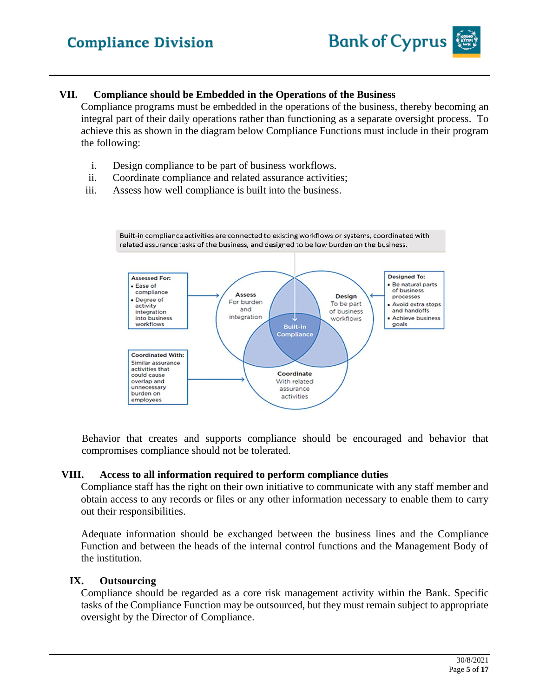#### **VII. Compliance should be Embedded in the Operations of the Business**

Compliance programs must be embedded in the operations of the business, thereby becoming an integral part of their daily operations rather than functioning as a separate oversight process. To achieve this as shown in the diagram below Compliance Functions must include in their program the following:

- i. Design compliance to be part of business workflows.
- ii. Coordinate compliance and related assurance activities;
- iii. Assess how well compliance is built into the business.



Behavior that creates and supports compliance should be encouraged and behavior that compromises compliance should not be tolerated.

#### **VIII. Access to all information required to perform compliance duties**

Compliance staff has the right on their own initiative to communicate with any staff member and obtain access to any records or files or any other information necessary to enable them to carry out their responsibilities.

Adequate information should be exchanged between the business lines and the Compliance Function and between the heads of the internal control functions and the Management Body of the institution.

#### **IX. Outsourcing**

Compliance should be regarded as a core risk management activity within the Bank. Specific tasks of the Compliance Function may be outsourced, but they must remain subject to appropriate oversight by the Director of Compliance.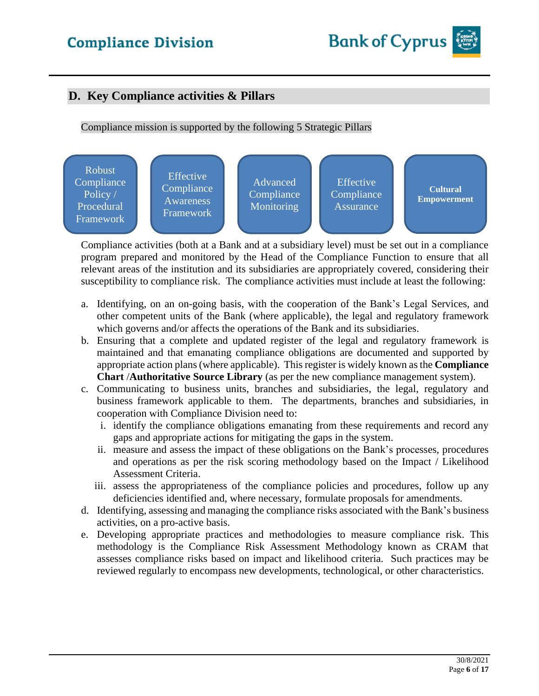### **D. Key Compliance activities & Pillars**

#### Compliance mission is supported by the following 5 Strategic Pillars



Compliance activities (both at a Bank and at a subsidiary level) must be set out in a compliance program prepared and monitored by the Head of the Compliance Function to ensure that all relevant areas of the institution and its subsidiaries are appropriately covered, considering their susceptibility to compliance risk. The compliance activities must include at least the following:

- a. Identifying, on an on-going basis, with the cooperation of the Bank's Legal Services, and other competent units of the Bank (where applicable), the legal and regulatory framework which governs and/or affects the operations of the Bank and its subsidiaries.
- b. Ensuring that a complete and updated register of the legal and regulatory framework is maintained and that emanating compliance obligations are documented and supported by appropriate action plans (where applicable). This register is widely known as the **Compliance Chart** /**Authoritative Source Library** (as per the new compliance management system).
- c. Communicating to business units, branches and subsidiaries, the legal, regulatory and business framework applicable to them. The departments, branches and subsidiaries, in cooperation with Compliance Division need to:
	- i. identify the compliance obligations emanating from these requirements and record any gaps and appropriate actions for mitigating the gaps in the system.
	- ii. measure and assess the impact of these obligations on the Bank's processes, procedures and operations as per the risk scoring methodology based on the Impact / Likelihood Assessment Criteria.
	- iii. assess the appropriateness of the compliance policies and procedures, follow up any deficiencies identified and, where necessary, formulate proposals for amendments.
- d. Identifying, assessing and managing the compliance risks associated with the Bank's business activities, on a pro-active basis.
- e. Developing appropriate practices and methodologies to measure compliance risk. This methodology is the Compliance Risk Assessment Methodology known as CRAM that assesses compliance risks based on impact and likelihood criteria. Such practices may be reviewed regularly to encompass new developments, technological, or other characteristics.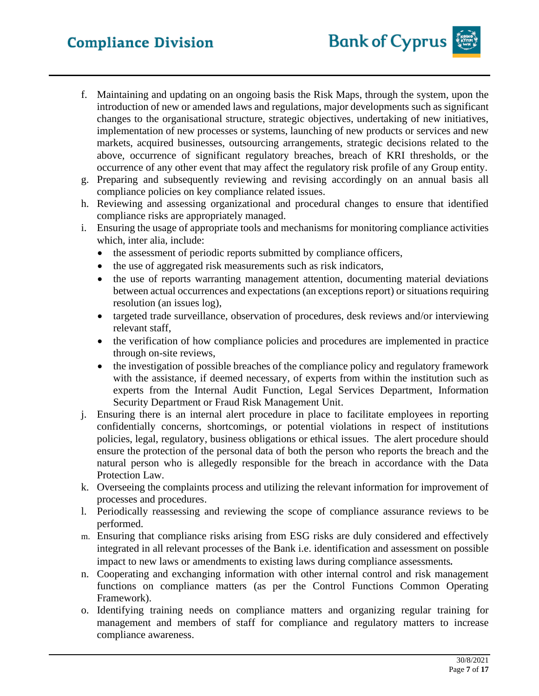- f. Maintaining and updating on an ongoing basis the Risk Maps, through the system, upon the introduction of new or amended laws and regulations, major developments such as significant changes to the organisational structure, strategic objectives, undertaking of new initiatives, implementation of new processes or systems, launching of new products or services and new markets, acquired businesses, outsourcing arrangements, strategic decisions related to the above, occurrence of significant regulatory breaches, breach of KRI thresholds, or the occurrence of any other event that may affect the regulatory risk profile of any Group entity.
- g. Preparing and subsequently reviewing and revising accordingly on an annual basis all compliance policies on key compliance related issues.
- h. Reviewing and assessing organizational and procedural changes to ensure that identified compliance risks are appropriately managed.
- i. Ensuring the usage of appropriate tools and mechanisms for monitoring compliance activities which, inter alia, include:
	- the assessment of periodic reports submitted by compliance officers,
	- the use of aggregated risk measurements such as risk indicators,
	- the use of reports warranting management attention, documenting material deviations between actual occurrences and expectations (an exceptions report) or situations requiring resolution (an issues log),
	- targeted trade surveillance, observation of procedures, desk reviews and/or interviewing relevant staff,
	- the verification of how compliance policies and procedures are implemented in practice through on-site reviews,
	- the investigation of possible breaches of the compliance policy and regulatory framework with the assistance, if deemed necessary, of experts from within the institution such as experts from the Internal Audit Function, Legal Services Department, Information Security Department or Fraud Risk Management Unit.
- j. Ensuring there is an internal alert procedure in place to facilitate employees in reporting confidentially concerns, shortcomings, or potential violations in respect of institutions policies, legal, regulatory, business obligations or ethical issues. The alert procedure should ensure the protection of the personal data of both the person who reports the breach and the natural person who is allegedly responsible for the breach in accordance with the Data Protection Law.
- k. Overseeing the complaints process and utilizing the relevant information for improvement of processes and procedures.
- l. Periodically reassessing and reviewing the scope of compliance assurance reviews to be performed.
- m. Ensuring that compliance risks arising from ESG risks are duly considered and effectively integrated in all relevant processes of the Bank i.e. identification and assessment on possible impact to new laws or amendments to existing laws during compliance assessments*.*
- n. Cooperating and exchanging information with other internal control and risk management functions on compliance matters (as per the Control Functions Common Operating Framework).
- o. Identifying training needs on compliance matters and organizing regular training for management and members of staff for compliance and regulatory matters to increase compliance awareness.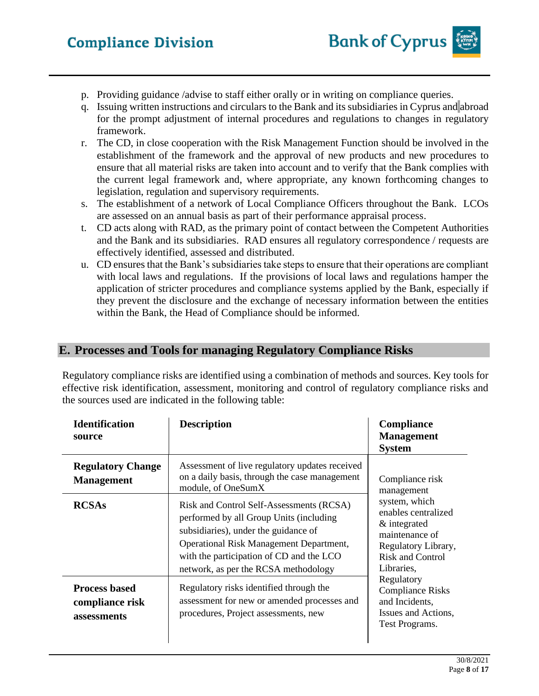- p. Providing guidance /advise to staff either orally or in writing on compliance queries.
- q. Issuing written instructions and circulars to the Bank and its subsidiaries in Cyprus and abroad for the prompt adjustment of internal procedures and regulations to changes in regulatory framework.
- r. The CD, in close cooperation with the Risk Management Function should be involved in the establishment of the framework and the approval of new products and new procedures to ensure that all material risks are taken into account and to verify that the Bank complies with the current legal framework and, where appropriate, any known forthcoming changes to legislation, regulation and supervisory requirements.
- s. The establishment of a network of Local Compliance Officers throughout the Bank. LCOs are assessed on an annual basis as part of their performance appraisal process.
- t. CD acts along with RAD, as the primary point of contact between the Competent Authorities and the Bank and its subsidiaries. RAD ensures all regulatory correspondence / requests are effectively identified, assessed and distributed.
- u. CD ensures that the Bank's subsidiaries take steps to ensure that their operations are compliant with local laws and regulations. If the provisions of local laws and regulations hamper the application of stricter procedures and compliance systems applied by the Bank, especially if they prevent the disclosure and the exchange of necessary information between the entities within the Bank, the Head of Compliance should be informed.

### **E. Processes and Tools for managing Regulatory Compliance Risks**

Regulatory compliance risks are identified using a combination of methods and sources. Key tools for effective risk identification, assessment, monitoring and control of regulatory compliance risks and the sources used are indicated in the following table:

| <b>Identification</b><br>source                        | <b>Description</b>                                                                                                                                                                                                                                         | <b>Compliance</b><br><b>Management</b><br><b>System</b>                                                                                                                                                                                                                     |
|--------------------------------------------------------|------------------------------------------------------------------------------------------------------------------------------------------------------------------------------------------------------------------------------------------------------------|-----------------------------------------------------------------------------------------------------------------------------------------------------------------------------------------------------------------------------------------------------------------------------|
| <b>Regulatory Change</b><br><b>Management</b>          | Assessment of live regulatory updates received<br>on a daily basis, through the case management<br>module, of OneSumX                                                                                                                                      | Compliance risk<br>management<br>system, which<br>enables centralized<br>& integrated<br>maintenance of<br>Regulatory Library,<br><b>Risk and Control</b><br>Libraries,<br>Regulatory<br><b>Compliance Risks</b><br>and Incidents,<br>Issues and Actions,<br>Test Programs. |
| <b>RCSAs</b>                                           | Risk and Control Self-Assessments (RCSA)<br>performed by all Group Units (including<br>subsidiaries), under the guidance of<br>Operational Risk Management Department,<br>with the participation of CD and the LCO<br>network, as per the RCSA methodology |                                                                                                                                                                                                                                                                             |
| <b>Process based</b><br>compliance risk<br>assessments | Regulatory risks identified through the<br>assessment for new or amended processes and<br>procedures, Project assessments, new                                                                                                                             |                                                                                                                                                                                                                                                                             |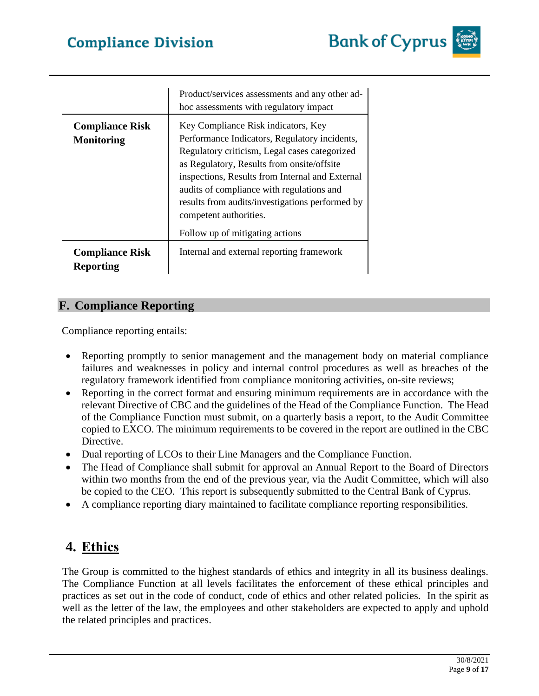|                                             | Product/services assessments and any other ad-<br>hoc assessments with regulatory impact                                                                                                                                                                                                                                                                                                            |
|---------------------------------------------|-----------------------------------------------------------------------------------------------------------------------------------------------------------------------------------------------------------------------------------------------------------------------------------------------------------------------------------------------------------------------------------------------------|
| <b>Compliance Risk</b><br><b>Monitoring</b> | Key Compliance Risk indicators, Key<br>Performance Indicators, Regulatory incidents,<br>Regulatory criticism, Legal cases categorized<br>as Regulatory, Results from onsite/offsite<br>inspections, Results from Internal and External<br>audits of compliance with regulations and<br>results from audits/investigations performed by<br>competent authorities.<br>Follow up of mitigating actions |
| <b>Compliance Risk</b><br><b>Reporting</b>  | Internal and external reporting framework                                                                                                                                                                                                                                                                                                                                                           |

### **F. Compliance Reporting**

Compliance reporting entails:

- Reporting promptly to senior management and the management body on material compliance failures and weaknesses in policy and internal control procedures as well as breaches of the regulatory framework identified from compliance monitoring activities, on-site reviews;
- Reporting in the correct format and ensuring minimum requirements are in accordance with the relevant Directive of CBC and the guidelines of the Head of the Compliance Function. The Head of the Compliance Function must submit, on a quarterly basis a report, to the Audit Committee copied to EXCO. The minimum requirements to be covered in the report are outlined in the CBC Directive.
- Dual reporting of LCOs to their Line Managers and the Compliance Function.
- The Head of Compliance shall submit for approval an Annual Report to the Board of Directors within two months from the end of the previous year, via the Audit Committee, which will also be copied to the CEO. This report is subsequently submitted to the Central Bank of Cyprus.
- A compliance reporting diary maintained to facilitate compliance reporting responsibilities.

# **4. Ethics**

The Group is committed to the highest standards of ethics and integrity in all its business dealings. The Compliance Function at all levels facilitates the enforcement of these ethical principles and practices as set out in the code of conduct, code of ethics and other related policies. In the spirit as well as the letter of the law, the employees and other stakeholders are expected to apply and uphold the related principles and practices.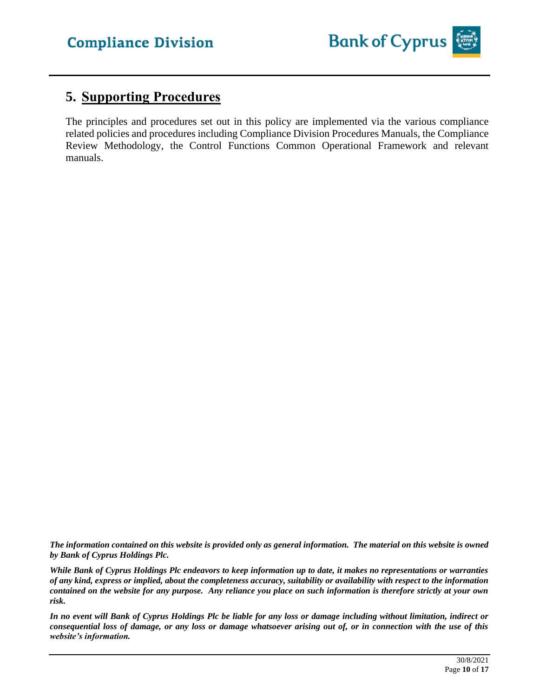

# **5. Supporting Procedures**

The principles and procedures set out in this policy are implemented via the various compliance related policies and procedures including Compliance Division Procedures Manuals, the Compliance Review Methodology, the Control Functions Common Operational Framework and relevant manuals.

*The information contained on this website is provided only as general information. The material on this website is owned by Bank of Cyprus Holdings Plc.*

*While Bank of Cyprus Holdings Plc endeavors to keep information up to date, it makes no representations or warranties of any kind, express or implied, about the completeness accuracy, suitability or availability with respect to the information contained on the website for any purpose. Any reliance you place on such information is therefore strictly at your own risk.* 

*In no event will Bank of Cyprus Holdings Plc be liable for any loss or damage including without limitation, indirect or consequential loss of damage, or any loss or damage whatsoever arising out of, or in connection with the use of this website's information.*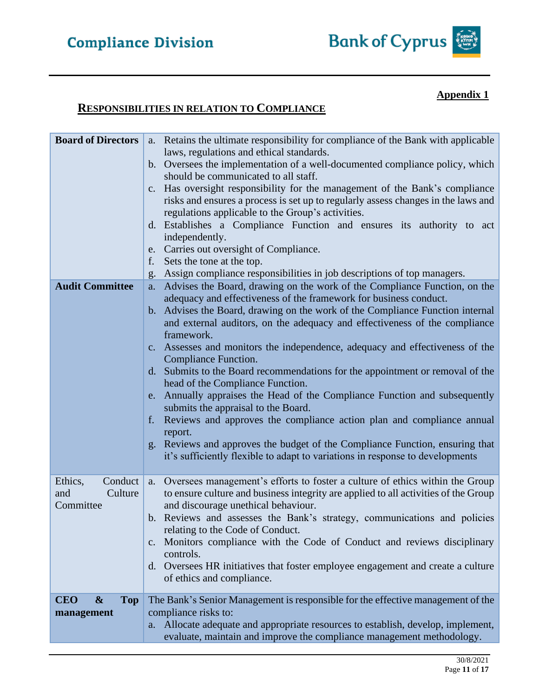### **Appendix 1**

## **RESPONSIBILITIES IN RELATION TO COMPLIANCE**

| <b>Board of Directors</b>                     | a. Retains the ultimate responsibility for compliance of the Bank with applicable                                                                    |
|-----------------------------------------------|------------------------------------------------------------------------------------------------------------------------------------------------------|
|                                               | laws, regulations and ethical standards.                                                                                                             |
|                                               | b. Oversees the implementation of a well-documented compliance policy, which                                                                         |
|                                               | should be communicated to all staff.                                                                                                                 |
|                                               | c. Has oversight responsibility for the management of the Bank's compliance                                                                          |
|                                               | risks and ensures a process is set up to regularly assess changes in the laws and                                                                    |
|                                               | regulations applicable to the Group's activities.                                                                                                    |
|                                               | d. Establishes a Compliance Function and ensures its authority to act                                                                                |
|                                               | independently.                                                                                                                                       |
|                                               | e. Carries out oversight of Compliance.                                                                                                              |
|                                               | f. Sets the tone at the top.                                                                                                                         |
|                                               | g. Assign compliance responsibilities in job descriptions of top managers.                                                                           |
| <b>Audit Committee</b>                        | Advises the Board, drawing on the work of the Compliance Function, on the<br>a.<br>adequacy and effectiveness of the framework for business conduct. |
|                                               | b. Advises the Board, drawing on the work of the Compliance Function internal                                                                        |
|                                               | and external auditors, on the adequacy and effectiveness of the compliance                                                                           |
|                                               | framework.                                                                                                                                           |
|                                               | c. Assesses and monitors the independence, adequacy and effectiveness of the                                                                         |
|                                               | Compliance Function.                                                                                                                                 |
|                                               | d. Submits to the Board recommendations for the appointment or removal of the                                                                        |
|                                               | head of the Compliance Function.                                                                                                                     |
|                                               | e. Annually appraises the Head of the Compliance Function and subsequently                                                                           |
|                                               | submits the appraisal to the Board.                                                                                                                  |
|                                               | Reviews and approves the compliance action plan and compliance annual<br>f.<br>report.                                                               |
|                                               | g. Reviews and approves the budget of the Compliance Function, ensuring that                                                                         |
|                                               | it's sufficiently flexible to adapt to variations in response to developments                                                                        |
|                                               |                                                                                                                                                      |
| Ethics,<br>Conduct                            | a. Oversees management's efforts to foster a culture of ethics within the Group                                                                      |
| Culture<br>and                                | to ensure culture and business integrity are applied to all activities of the Group                                                                  |
| Committee                                     | and discourage unethical behaviour.                                                                                                                  |
|                                               | b. Reviews and assesses the Bank's strategy, communications and policies                                                                             |
|                                               | relating to the Code of Conduct.                                                                                                                     |
|                                               | Monitors compliance with the Code of Conduct and reviews disciplinary<br>$c_{\cdot}$                                                                 |
|                                               | controls.                                                                                                                                            |
|                                               | d. Oversees HR initiatives that foster employee engagement and create a culture                                                                      |
|                                               | of ethics and compliance.                                                                                                                            |
| <b>CEO</b><br>$\boldsymbol{\&}$<br><b>Top</b> | The Bank's Senior Management is responsible for the effective management of the                                                                      |
| management                                    | compliance risks to:                                                                                                                                 |
|                                               | a. Allocate adequate and appropriate resources to establish, develop, implement,                                                                     |
|                                               | evaluate, maintain and improve the compliance management methodology.                                                                                |
|                                               |                                                                                                                                                      |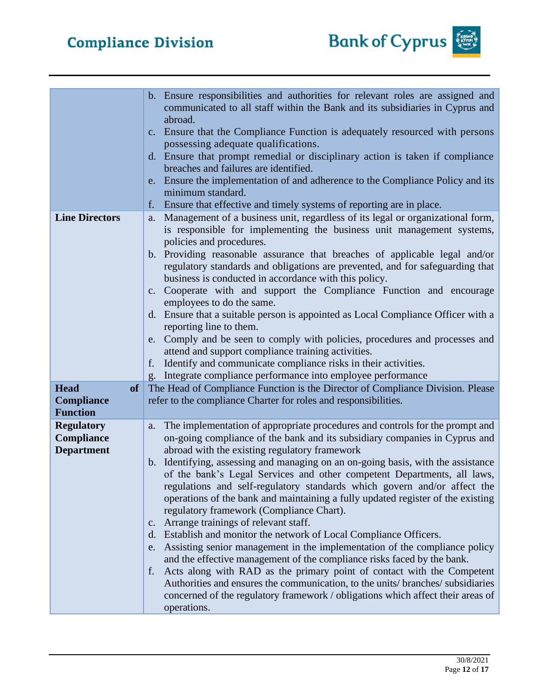|                          | b. Ensure responsibilities and authorities for relevant roles are assigned and<br>communicated to all staff within the Bank and its subsidiaries in Cyprus and                                                       |
|--------------------------|----------------------------------------------------------------------------------------------------------------------------------------------------------------------------------------------------------------------|
|                          | abroad.<br>c. Ensure that the Compliance Function is adequately resourced with persons<br>possessing adequate qualifications.                                                                                        |
|                          | d. Ensure that prompt remedial or disciplinary action is taken if compliance                                                                                                                                         |
|                          | breaches and failures are identified.<br>e. Ensure the implementation of and adherence to the Compliance Policy and its                                                                                              |
|                          | minimum standard.<br>Ensure that effective and timely systems of reporting are in place.<br>f.                                                                                                                       |
| <b>Line Directors</b>    | Management of a business unit, regardless of its legal or organizational form,<br>a.                                                                                                                                 |
|                          | is responsible for implementing the business unit management systems,                                                                                                                                                |
|                          | policies and procedures.                                                                                                                                                                                             |
|                          | b. Providing reasonable assurance that breaches of applicable legal and/or<br>regulatory standards and obligations are prevented, and for safeguarding that<br>business is conducted in accordance with this policy. |
|                          |                                                                                                                                                                                                                      |
|                          | c. Cooperate with and support the Compliance Function and encourage<br>employees to do the same.                                                                                                                     |
|                          | d. Ensure that a suitable person is appointed as Local Compliance Officer with a                                                                                                                                     |
|                          | reporting line to them.                                                                                                                                                                                              |
|                          | e. Comply and be seen to comply with policies, procedures and processes and                                                                                                                                          |
|                          | attend and support compliance training activities.                                                                                                                                                                   |
|                          | Identify and communicate compliance risks in their activities.<br>f.                                                                                                                                                 |
|                          | g. Integrate compliance performance into employee performance                                                                                                                                                        |
| <b>Head</b><br><b>of</b> | The Head of Compliance Function is the Director of Compliance Division. Please                                                                                                                                       |
| <b>Compliance</b>        | refer to the compliance Charter for roles and responsibilities.                                                                                                                                                      |
| <b>Function</b>          |                                                                                                                                                                                                                      |
| <b>Regulatory</b>        | The implementation of appropriate procedures and controls for the prompt and<br>a.                                                                                                                                   |
| Compliance               | on-going compliance of the bank and its subsidiary companies in Cyprus and                                                                                                                                           |
| <b>Department</b>        | abroad with the existing regulatory framework                                                                                                                                                                        |
|                          | b. Identifying, assessing and managing on an on-going basis, with the assistance                                                                                                                                     |
|                          | of the bank's Legal Services and other competent Departments, all laws,                                                                                                                                              |
|                          | regulations and self-regulatory standards which govern and/or affect the                                                                                                                                             |
|                          | operations of the bank and maintaining a fully updated register of the existing                                                                                                                                      |
|                          | regulatory framework (Compliance Chart).                                                                                                                                                                             |
|                          | c. Arrange trainings of relevant staff.<br>d. Establish and monitor the network of Local Compliance Officers.                                                                                                        |
|                          | e. Assisting senior management in the implementation of the compliance policy                                                                                                                                        |
|                          | and the effective management of the compliance risks faced by the bank.                                                                                                                                              |
|                          | Acts along with RAD as the primary point of contact with the Competent<br>f.                                                                                                                                         |
|                          | Authorities and ensures the communication, to the units/branches/subsidiaries                                                                                                                                        |
|                          | concerned of the regulatory framework / obligations which affect their areas of                                                                                                                                      |
|                          | operations.                                                                                                                                                                                                          |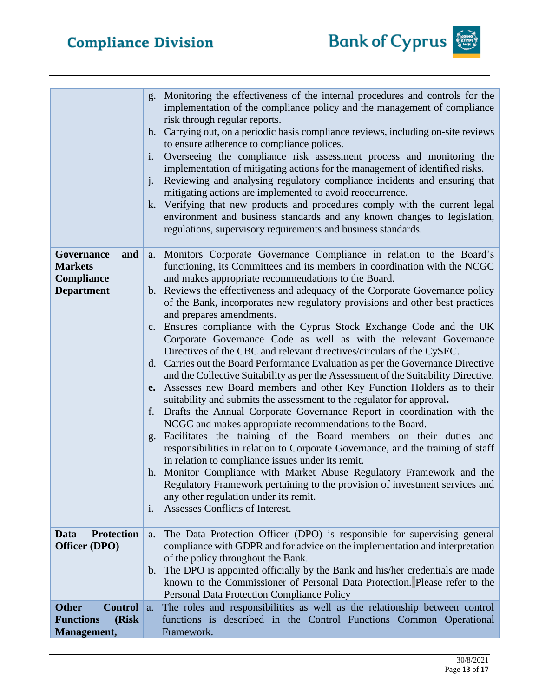|                                                                            | Monitoring the effectiveness of the internal procedures and controls for the<br>g.<br>implementation of the compliance policy and the management of compliance<br>risk through regular reports.<br>Carrying out, on a periodic basis compliance reviews, including on-site reviews<br>h.<br>to ensure adherence to compliance polices.<br>Overseeing the compliance risk assessment process and monitoring the<br>$\mathbf{i}$ .<br>implementation of mitigating actions for the management of identified risks.<br>Reviewing and analysing regulatory compliance incidents and ensuring that<br>$\mathbf{i}$ .<br>mitigating actions are implemented to avoid reoccurrence.<br>k. Verifying that new products and procedures comply with the current legal<br>environment and business standards and any known changes to legislation,<br>regulations, supervisory requirements and business standards.                                                                                                                                                                                                                                                                                                                                                                                                                                                                                                                                                                                                                                                     |
|----------------------------------------------------------------------------|--------------------------------------------------------------------------------------------------------------------------------------------------------------------------------------------------------------------------------------------------------------------------------------------------------------------------------------------------------------------------------------------------------------------------------------------------------------------------------------------------------------------------------------------------------------------------------------------------------------------------------------------------------------------------------------------------------------------------------------------------------------------------------------------------------------------------------------------------------------------------------------------------------------------------------------------------------------------------------------------------------------------------------------------------------------------------------------------------------------------------------------------------------------------------------------------------------------------------------------------------------------------------------------------------------------------------------------------------------------------------------------------------------------------------------------------------------------------------------------------------------------------------------------------------------------|
| Governance<br>and<br><b>Markets</b><br>Compliance<br><b>Department</b>     | a. Monitors Corporate Governance Compliance in relation to the Board's<br>functioning, its Committees and its members in coordination with the NCGC<br>and makes appropriate recommendations to the Board.<br>b. Reviews the effectiveness and adequacy of the Corporate Governance policy<br>of the Bank, incorporates new regulatory provisions and other best practices<br>and prepares amendments.<br>c. Ensures compliance with the Cyprus Stock Exchange Code and the UK<br>Corporate Governance Code as well as with the relevant Governance<br>Directives of the CBC and relevant directives/circulars of the CySEC.<br>d. Carries out the Board Performance Evaluation as per the Governance Directive<br>and the Collective Suitability as per the Assessment of the Suitability Directive.<br>Assesses new Board members and other Key Function Holders as to their<br>e.<br>suitability and submits the assessment to the regulator for approval.<br>f. Drafts the Annual Corporate Governance Report in coordination with the<br>NCGC and makes appropriate recommendations to the Board.<br>Facilitates the training of the Board members on their duties and<br>responsibilities in relation to Corporate Governance, and the training of staff<br>in relation to compliance issues under its remit.<br>h. Monitor Compliance with Market Abuse Regulatory Framework and the<br>Regulatory Framework pertaining to the provision of investment services and<br>any other regulation under its remit.<br>Assesses Conflicts of Interest.<br>1. |
| <b>Protection</b><br>Data<br><b>Officer (DPO)</b>                          | The Data Protection Officer (DPO) is responsible for supervising general<br>a.<br>compliance with GDPR and for advice on the implementation and interpretation<br>of the policy throughout the Bank.<br>The DPO is appointed officially by the Bank and his/her credentials are made<br>$\mathbf{b}$ .<br>known to the Commissioner of Personal Data Protection. Please refer to the<br>Personal Data Protection Compliance Policy                                                                                                                                                                                                                                                                                                                                                                                                                                                                                                                                                                                                                                                                                                                                                                                                                                                                                                                                                                                                                                                                                                                           |
| <b>Other</b><br><b>Control</b><br><b>Functions</b><br>(Risk<br>Management, | The roles and responsibilities as well as the relationship between control<br>a.<br>functions is described in the Control Functions Common Operational<br>Framework.                                                                                                                                                                                                                                                                                                                                                                                                                                                                                                                                                                                                                                                                                                                                                                                                                                                                                                                                                                                                                                                                                                                                                                                                                                                                                                                                                                                         |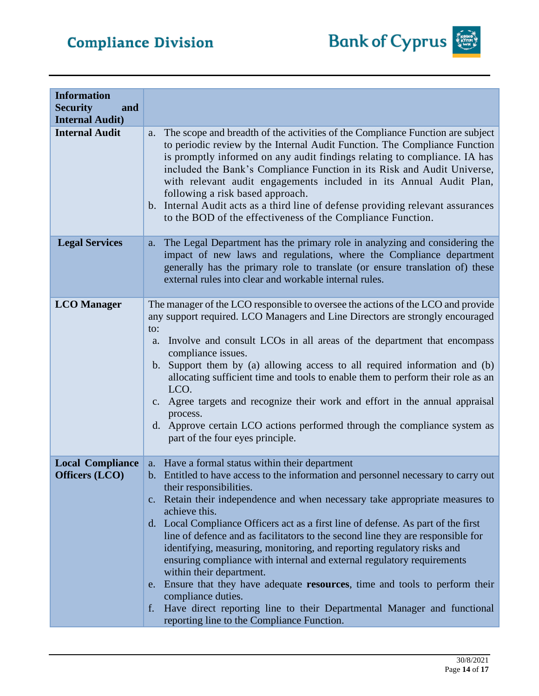# **Compliance Division**



| <b>Information</b><br><b>Security</b><br>and<br><b>Internal Audit)</b> |                                                                                                                                                                                                                                                                                                                                                                                                                                                                                                                                                                                                                                                                                                                                                                                                                                                                |
|------------------------------------------------------------------------|----------------------------------------------------------------------------------------------------------------------------------------------------------------------------------------------------------------------------------------------------------------------------------------------------------------------------------------------------------------------------------------------------------------------------------------------------------------------------------------------------------------------------------------------------------------------------------------------------------------------------------------------------------------------------------------------------------------------------------------------------------------------------------------------------------------------------------------------------------------|
| <b>Internal Audit</b>                                                  | The scope and breadth of the activities of the Compliance Function are subject<br>a.<br>to periodic review by the Internal Audit Function. The Compliance Function<br>is promptly informed on any audit findings relating to compliance. IA has<br>included the Bank's Compliance Function in its Risk and Audit Universe,<br>with relevant audit engagements included in its Annual Audit Plan,<br>following a risk based approach.<br>b. Internal Audit acts as a third line of defense providing relevant assurances<br>to the BOD of the effectiveness of the Compliance Function.                                                                                                                                                                                                                                                                         |
| <b>Legal Services</b>                                                  | The Legal Department has the primary role in analyzing and considering the<br>a.<br>impact of new laws and regulations, where the Compliance department<br>generally has the primary role to translate (or ensure translation of) these<br>external rules into clear and workable internal rules.                                                                                                                                                                                                                                                                                                                                                                                                                                                                                                                                                              |
| <b>LCO</b> Manager                                                     | The manager of the LCO responsible to oversee the actions of the LCO and provide<br>any support required. LCO Managers and Line Directors are strongly encouraged<br>to:<br>Involve and consult LCOs in all areas of the department that encompass<br>a.<br>compliance issues.<br>Support them by (a) allowing access to all required information and (b)<br>b.<br>allocating sufficient time and tools to enable them to perform their role as an<br>LCO.<br>c. Agree targets and recognize their work and effort in the annual appraisal<br>process.<br>d. Approve certain LCO actions performed through the compliance system as<br>part of the four eyes principle.                                                                                                                                                                                        |
| <b>Local Compliance</b><br><b>Officers</b> (LCO)                       | a. Have a formal status within their department<br>b. Entitled to have access to the information and personnel necessary to carry out<br>their responsibilities.<br>c. Retain their independence and when necessary take appropriate measures to<br>achieve this.<br>d. Local Compliance Officers act as a first line of defense. As part of the first<br>line of defence and as facilitators to the second line they are responsible for<br>identifying, measuring, monitoring, and reporting regulatory risks and<br>ensuring compliance with internal and external regulatory requirements<br>within their department.<br>e. Ensure that they have adequate resources, time and tools to perform their<br>compliance duties.<br>Have direct reporting line to their Departmental Manager and functional<br>f.<br>reporting line to the Compliance Function. |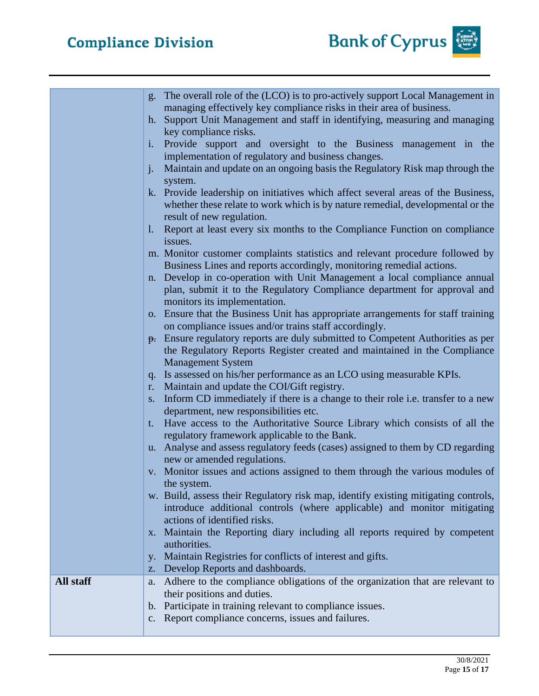

|           | g. The overall role of the (LCO) is to pro-actively support Local Management in<br>managing effectively key compliance risks in their area of business. |
|-----------|---------------------------------------------------------------------------------------------------------------------------------------------------------|
|           | Support Unit Management and staff in identifying, measuring and managing<br>$h_{\cdot}$                                                                 |
|           | key compliance risks.<br>Provide support and oversight to the Business management in the<br>$\mathbf{i}$ .                                              |
|           | implementation of regulatory and business changes.                                                                                                      |
|           | Maintain and update on an ongoing basis the Regulatory Risk map through the<br>$j$ .<br>system.                                                         |
|           | k. Provide leadership on initiatives which affect several areas of the Business,                                                                        |
|           | whether these relate to work which is by nature remedial, developmental or the<br>result of new regulation.                                             |
|           | 1. Report at least every six months to the Compliance Function on compliance<br>issues.                                                                 |
|           | m. Monitor customer complaints statistics and relevant procedure followed by                                                                            |
|           | Business Lines and reports accordingly, monitoring remedial actions.<br>n. Develop in co-operation with Unit Management a local compliance annual       |
|           | plan, submit it to the Regulatory Compliance department for approval and                                                                                |
|           | monitors its implementation.<br>o. Ensure that the Business Unit has appropriate arrangements for staff training                                        |
|           | on compliance issues and/or trains staff accordingly.                                                                                                   |
|           | <del>p.</del> Ensure regulatory reports are duly submitted to Competent Authorities as per                                                              |
|           | the Regulatory Reports Register created and maintained in the Compliance<br><b>Management System</b>                                                    |
|           | q. Is assessed on his/her performance as an LCO using measurable KPIs.                                                                                  |
|           | Maintain and update the COI/Gift registry.<br>r.<br>Inform CD immediately if there is a change to their role i.e. transfer to a new<br>S.               |
|           | department, new responsibilities etc.                                                                                                                   |
|           | Have access to the Authoritative Source Library which consists of all the<br>t.<br>regulatory framework applicable to the Bank.                         |
|           | u. Analyse and assess regulatory feeds (cases) assigned to them by CD regarding                                                                         |
|           | new or amended regulations.<br>v. Monitor issues and actions assigned to them through the various modules of                                            |
|           | the system.                                                                                                                                             |
|           | w. Build, assess their Regulatory risk map, identify existing mitigating controls,                                                                      |
|           | introduce additional controls (where applicable) and monitor mitigating<br>actions of identified risks.                                                 |
|           | x. Maintain the Reporting diary including all reports required by competent                                                                             |
|           | authorities.<br>Maintain Registries for conflicts of interest and gifts.                                                                                |
|           | V <sub>1</sub><br>Develop Reports and dashboards.<br>Z.                                                                                                 |
| All staff | Adhere to the compliance obligations of the organization that are relevant to<br>a.                                                                     |
|           | their positions and duties.<br>b. Participate in training relevant to compliance issues.                                                                |
|           | Report compliance concerns, issues and failures.<br>c.                                                                                                  |
|           |                                                                                                                                                         |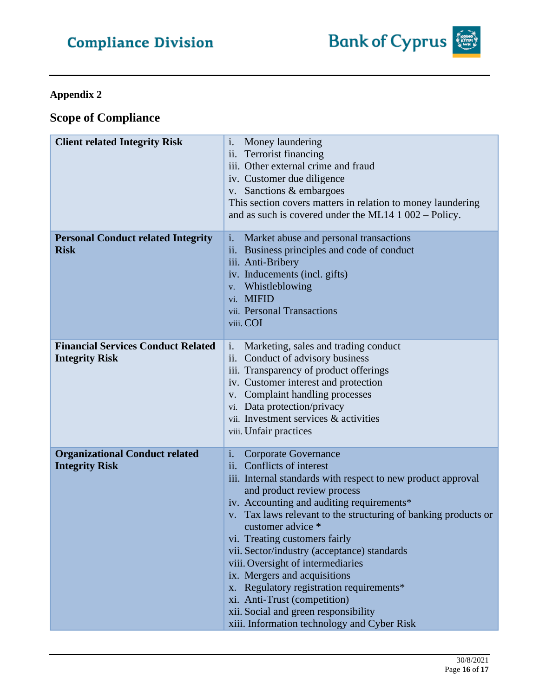# **Appendix 2**

# **Scope of Compliance**

| <b>Client related Integrity Risk</b>                               | i.<br>Money laundering<br>ii. Terrorist financing<br>iii. Other external crime and fraud<br>iv. Customer due diligence<br>v. Sanctions & embargoes<br>This section covers matters in relation to money laundering<br>and as such is covered under the ML14 $1\,002$ – Policy.                                                                                                                                                                                                                                                                                                                                     |
|--------------------------------------------------------------------|-------------------------------------------------------------------------------------------------------------------------------------------------------------------------------------------------------------------------------------------------------------------------------------------------------------------------------------------------------------------------------------------------------------------------------------------------------------------------------------------------------------------------------------------------------------------------------------------------------------------|
| <b>Personal Conduct related Integrity</b><br><b>Risk</b>           | i.<br>Market abuse and personal transactions<br>ii. Business principles and code of conduct<br>iii. Anti-Bribery<br>iv. Inducements (incl. gifts)<br>v. Whistleblowing<br>vi. MIFID<br>vii. Personal Transactions<br>viii. COI                                                                                                                                                                                                                                                                                                                                                                                    |
| <b>Financial Services Conduct Related</b><br><b>Integrity Risk</b> | i.<br>Marketing, sales and trading conduct<br>ii. Conduct of advisory business<br>iii. Transparency of product offerings<br>iv. Customer interest and protection<br>v. Complaint handling processes<br>vi. Data protection/privacy<br>vii. Investment services & activities<br>viii. Unfair practices                                                                                                                                                                                                                                                                                                             |
| <b>Organizational Conduct related</b><br><b>Integrity Risk</b>     | i.<br>Corporate Governance<br>ii. Conflicts of interest<br>iii. Internal standards with respect to new product approval<br>and product review process<br>iv. Accounting and auditing requirements*<br>v. Tax laws relevant to the structuring of banking products or<br>customer advice *<br>vi. Treating customers fairly<br>vii. Sector/industry (acceptance) standards<br>viii. Oversight of intermediaries<br>ix. Mergers and acquisitions<br>x. Regulatory registration requirements*<br>xi. Anti-Trust (competition)<br>xii. Social and green responsibility<br>xiii. Information technology and Cyber Risk |